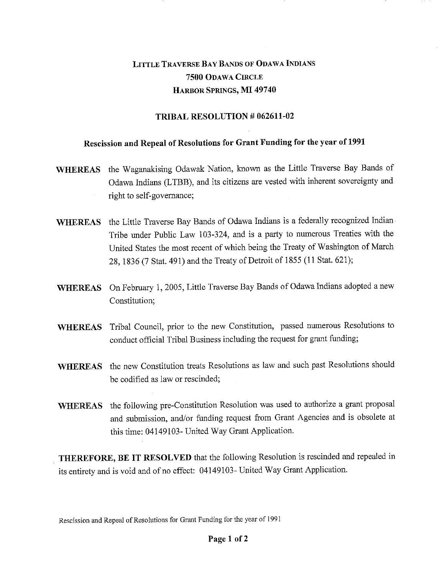## LITTLE TRAVERSE BAY BANDS OF ODAWA INDIANS **7500** ODAWA CIRCLE HARBOR SPRINGS, **MI 49740**

## **TRIBAL RESOLUTION # 062611-02**

## **Rescission and Repeal of Resolutions for Grant Funding for the year of 1991**

- **WHEREAS** the Waganakising Odawak Nation, known as the Little Traverse Bay Bands of Odawa Indians (LTBB), and its citizens are vested with inherent sovereignty and right to self-governance;
- WHEREAS the Little Traverse Bay Bands of Odawa Indians is a federally recognized Indian Tribe under Public Law 103-324, and is a party to numerous Treaties with the United States the most recent of which being the Treaty of Washington of March 28, 1836 (7 Stat. 491) and the Treaty of Detroit of 1855 (11 Stat. 621);
- **WHEREAS** On February 1, 2005, Little Traverse Bay Bands of Odawa Indians adopted a new Constitution;
- **WHEREAS** Tribal Council, prior to the new Constitution, passed numerous Resolutions to conduct official Tribal Business including the request for grant funding;
- **WHEREAS** the new Constitution treats Resolutions as law and such past Resolutions should be codified as law or rescinded;
- **WHEREAS** the following pre-Constitution Resolution was used to authorize a grant proposal and submission, and/or funding request from Grant Agencies and is obsolete at this time: 04149103- United Way Grant Application.

**THEREFORE, BE IT RESOLVED** that the following Resolution is rescinded and repealed in its entirety and is void and of no effect: 04149103- United Way Grant Application.

Rescission and Repeal of Resolutions for Grant Funding for the year of 1991